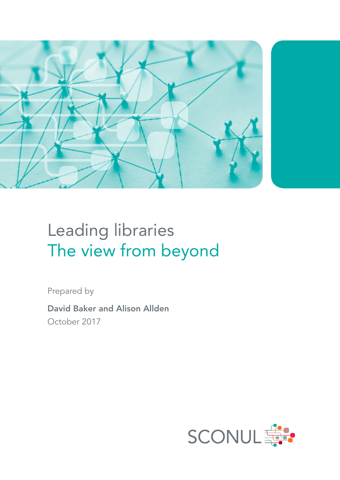

# Leading libraries The view from beyond

Prepared by

David Baker and Alison Allden October 2017

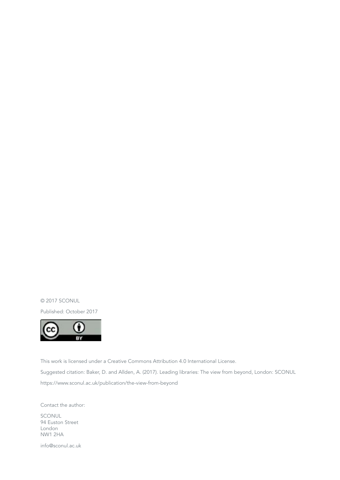© 2017 SCONUL

Published: October 2017



This work is licensed under a Creative Commons Attribution 4.0 International License. Suggested citation: Baker, D. and Allden, A. (2017). Leading libraries: The view from beyond, London: SCONUL https://www.sconul.ac.uk/publication/the-view-from-beyond

Contact the author:

SCONUL 94 Euston Street London NW1 2HA

info@sconul.ac.uk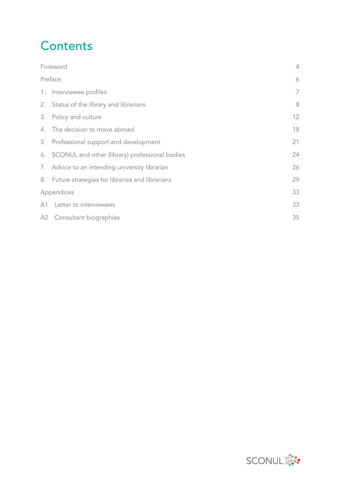## **Contents**

| Foreword   |                                                   | $\overline{4}$ |
|------------|---------------------------------------------------|----------------|
| Preface    |                                                   | 6              |
|            | 1. Interviewee profiles                           | 7              |
|            | 2. Status of the library and librarians           | 8              |
|            | 3. Policy and culture                             | 12             |
|            | 4. The decision to move abroad                    | 18             |
|            | 5. Professional support and development           | 21             |
|            | 6. SCONUL and other (library) professional bodies | 24             |
|            | 7. Advice to an intending university librarian    | 26             |
|            | 8. Future strategies for libraries and librarians | 29             |
| Appendices |                                                   | 33             |
|            | A1 Letter to interviewees                         | 33             |
|            | A2 Consultant biographies                         | 35             |

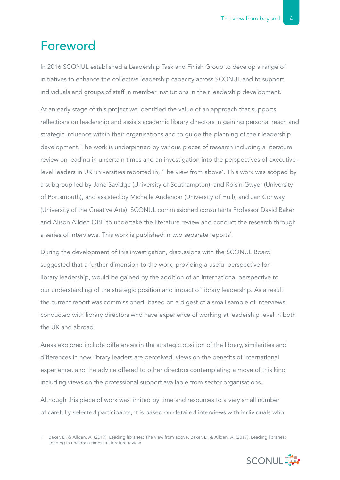## Foreword

In 2016 SCONUL established a Leadership Task and Finish Group to develop a range of initiatives to enhance the collective leadership capacity across SCONUL and to support individuals and groups of staff in member institutions in their leadership development.

At an early stage of this project we identified the value of an approach that supports reflections on leadership and assists academic library directors in gaining personal reach and strategic influence within their organisations and to guide the planning of their leadership development. The work is underpinned by various pieces of research including a literature review on leading in uncertain times and an investigation into the perspectives of executivelevel leaders in UK universities reported in, 'The view from above'. This work was scoped by a subgroup led by Jane Savidge (University of Southampton), and Roisin Gwyer (University of Portsmouth), and assisted by Michelle Anderson (University of Hull), and Jan Conway (University of the Creative Arts). SCONUL commissioned consultants Professor David Baker and Alison Allden OBE to undertake the literature review and conduct the research through a series of interviews. This work is published in two separate reports<sup>1</sup>.

During the development of this investigation, discussions with the SCONUL Board suggested that a further dimension to the work, providing a useful perspective for library leadership, would be gained by the addition of an international perspective to our understanding of the strategic position and impact of library leadership. As a result the current report was commissioned, based on a digest of a small sample of interviews conducted with library directors who have experience of working at leadership level in both the UK and abroad.

Areas explored include differences in the strategic position of the library, similarities and differences in how library leaders are perceived, views on the benefits of international experience, and the advice offered to other directors contemplating a move of this kind including views on the professional support available from sector organisations.

Although this piece of work was limited by time and resources to a very small number of carefully selected participants, it is based on detailed interviews with individuals who

<sup>1</sup> Baker, D. & Allden, A. (2017). Leading libraries: The view from above. Baker, D. & Allden, A. (2017). Leading libraries: Leading in uncertain times: a literature review

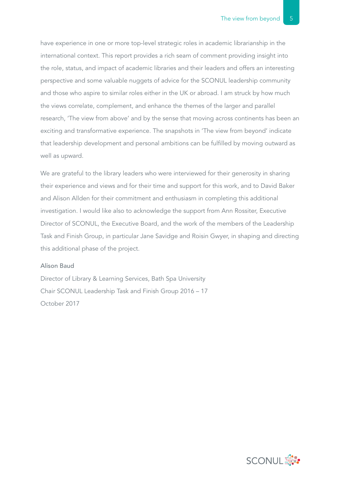have experience in one or more top-level strategic roles in academic librarianship in the international context. This report provides a rich seam of comment providing insight into the role, status, and impact of academic libraries and their leaders and offers an interesting perspective and some valuable nuggets of advice for the SCONUL leadership community and those who aspire to similar roles either in the UK or abroad. I am struck by how much the views correlate, complement, and enhance the themes of the larger and parallel research, 'The view from above' and by the sense that moving across continents has been an exciting and transformative experience. The snapshots in 'The view from beyond' indicate that leadership development and personal ambitions can be fulfilled by moving outward as well as upward.

We are grateful to the library leaders who were interviewed for their generosity in sharing their experience and views and for their time and support for this work, and to David Baker and Alison Allden for their commitment and enthusiasm in completing this additional investigation. I would like also to acknowledge the support from Ann Rossiter, Executive Director of SCONUL, the Executive Board, and the work of the members of the Leadership Task and Finish Group, in particular Jane Savidge and Roisin Gwyer, in shaping and directing this additional phase of the project.

## Alison Baud

Director of Library & Learning Services, Bath Spa University Chair SCONUL Leadership Task and Finish Group 2016 – 17 October 2017

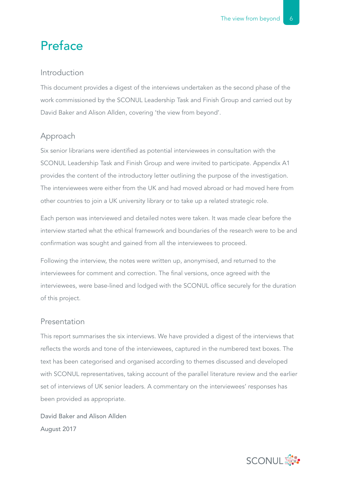## Preface

## Introduction

This document provides a digest of the interviews undertaken as the second phase of the work commissioned by the SCONUL Leadership Task and Finish Group and carried out by David Baker and Alison Allden, covering 'the view from beyond'.

## Approach

Six senior librarians were identified as potential interviewees in consultation with the SCONUL Leadership Task and Finish Group and were invited to participate. Appendix A1 provides the content of the introductory letter outlining the purpose of the investigation. The interviewees were either from the UK and had moved abroad or had moved here from other countries to join a UK university library or to take up a related strategic role.

Each person was interviewed and detailed notes were taken. It was made clear before the interview started what the ethical framework and boundaries of the research were to be and confirmation was sought and gained from all the interviewees to proceed.

Following the interview, the notes were written up, anonymised, and returned to the interviewees for comment and correction. The final versions, once agreed with the interviewees, were base-lined and lodged with the SCONUL office securely for the duration of this project.

## Presentation

This report summarises the six interviews. We have provided a digest of the interviews that reflects the words and tone of the interviewees, captured in the numbered text boxes. The text has been categorised and organised according to themes discussed and developed with SCONUL representatives, taking account of the parallel literature review and the earlier set of interviews of UK senior leaders. A commentary on the interviewees' responses has been provided as appropriate.

David Baker and Alison Allden August 2017

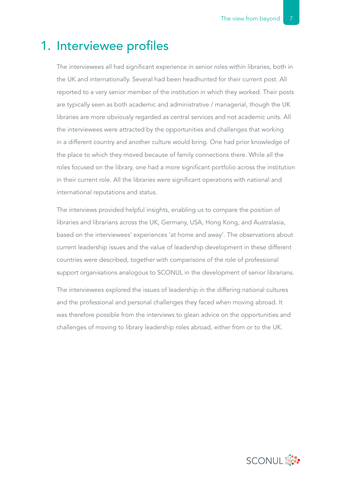## 1. Interviewee profiles

The interviewees all had significant experience in senior roles within libraries, both in the UK and internationally. Several had been headhunted for their current post. All reported to a very senior member of the institution in which they worked. Their posts are typically seen as both academic and administrative / managerial, though the UK libraries are more obviously regarded as central services and not academic units. All the interviewees were attracted by the opportunities and challenges that working in a different country and another culture would bring. One had prior knowledge of the place to which they moved because of family connections there. While all the roles focused on the library, one had a more significant portfolio across the institution in their current role. All the libraries were significant operations with national and international reputations and status.

The interviews provided helpful insights, enabling us to compare the position of libraries and librarians across the UK, Germany, USA, Hong Kong, and Australasia, based on the interviewees' experiences 'at home and away'. The observations about current leadership issues and the value of leadership development in these different countries were described, together with comparisons of the role of professional support organisations analogous to SCONUL in the development of senior librarians.

The interviewees explored the issues of leadership in the differing national cultures and the professional and personal challenges they faced when moving abroad. It was therefore possible from the interviews to glean advice on the opportunities and challenges of moving to library leadership roles abroad, either from or to the UK.

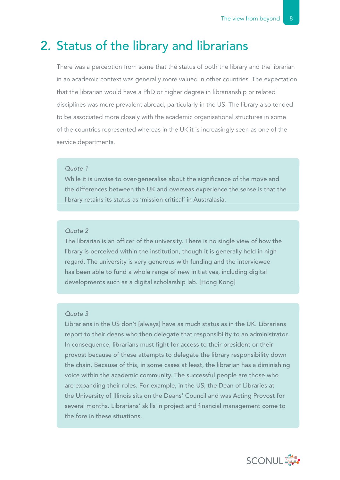## 2. Status of the library and librarians

There was a perception from some that the status of both the library and the librarian in an academic context was generally more valued in other countries. The expectation that the librarian would have a PhD or higher degree in librarianship or related disciplines was more prevalent abroad, particularly in the US. The library also tended to be associated more closely with the academic organisational structures in some of the countries represented whereas in the UK it is increasingly seen as one of the service departments.

## *Quote 1*

While it is unwise to over-generalise about the significance of the move and the differences between the UK and overseas experience the sense is that the library retains its status as 'mission critical' in Australasia.

#### *Quote 2*

The librarian is an officer of the university. There is no single view of how the library is perceived within the institution, though it is generally held in high regard. The university is very generous with funding and the interviewee has been able to fund a whole range of new initiatives, including digital developments such as a digital scholarship lab. [Hong Kong]

## *Quote 3*

Librarians in the US don't [always] have as much status as in the UK. Librarians report to their deans who then delegate that responsibility to an administrator. In consequence, librarians must fight for access to their president or their provost because of these attempts to delegate the library responsibility down the chain. Because of this, in some cases at least, the librarian has a diminishing voice within the academic community. The successful people are those who are expanding their roles. For example, in the US, the Dean of Libraries at the University of Illinois sits on the Deans' Council and was Acting Provost for several months. Librarians' skills in project and financial management come to the fore in these situations.

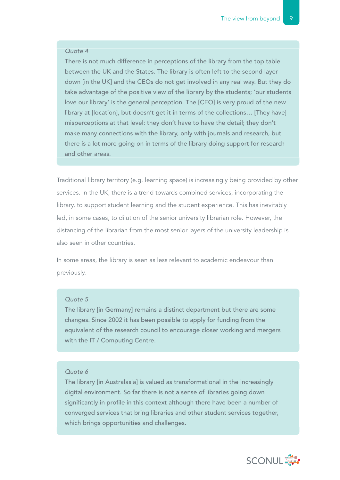There is not much difference in perceptions of the library from the top table between the UK and the States. The library is often left to the second layer down [in the UK] and the CEOs do not get involved in any real way. But they do take advantage of the positive view of the library by the students; 'our students love our library' is the general perception. The [CEO] is very proud of the new library at [location], but doesn't get it in terms of the collections… [They have] misperceptions at that level: they don't have to have the detail; they don't make many connections with the library, only with journals and research, but there is a lot more going on in terms of the library doing support for research and other areas.

Traditional library territory (e.g. learning space) is increasingly being provided by other services. In the UK, there is a trend towards combined services, incorporating the library, to support student learning and the student experience. This has inevitably led, in some cases, to dilution of the senior university librarian role. However, the distancing of the librarian from the most senior layers of the university leadership is also seen in other countries.

In some areas, the library is seen as less relevant to academic endeavour than previously.

#### *Quote 5*

The library [in Germany] remains a distinct department but there are some changes. Since 2002 it has been possible to apply for funding from the equivalent of the research council to encourage closer working and mergers with the IT / Computing Centre.

#### *Quote 6*

The library [in Australasia] is valued as transformational in the increasingly digital environment. So far there is not a sense of libraries going down significantly in profile in this context although there have been a number of converged services that bring libraries and other student services together, which brings opportunities and challenges.

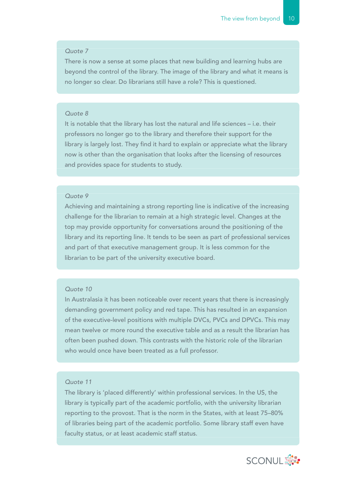There is now a sense at some places that new building and learning hubs are beyond the control of the library. The image of the library and what it means is no longer so clear. Do librarians still have a role? This is questioned.

#### *Quote 8*

It is notable that the library has lost the natural and life sciences – i.e. their professors no longer go to the library and therefore their support for the library is largely lost. They find it hard to explain or appreciate what the library now is other than the organisation that looks after the licensing of resources and provides space for students to study.

#### *Quote 9*

Achieving and maintaining a strong reporting line is indicative of the increasing challenge for the librarian to remain at a high strategic level. Changes at the top may provide opportunity for conversations around the positioning of the library and its reporting line. It tends to be seen as part of professional services and part of that executive management group. It is less common for the librarian to be part of the university executive board.

#### *Quote 10*

In Australasia it has been noticeable over recent years that there is increasingly demanding government policy and red tape. This has resulted in an expansion of the executive-level positions with multiple DVCs, PVCs and DPVCs. This may mean twelve or more round the executive table and as a result the librarian has often been pushed down. This contrasts with the historic role of the librarian who would once have been treated as a full professor.

#### *Quote 11*

The library is 'placed differently' within professional services. In the US, the library is typically part of the academic portfolio, with the university librarian reporting to the provost. That is the norm in the States, with at least 75–80% of libraries being part of the academic portfolio. Some library staff even have faculty status, or at least academic staff status.

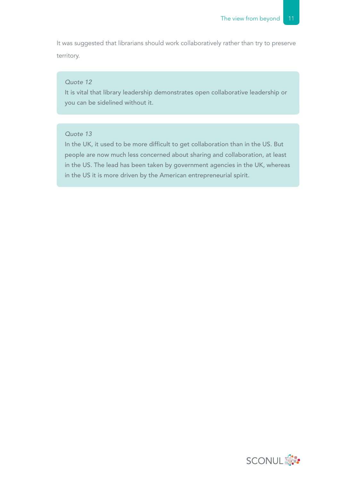It was suggested that librarians should work collaboratively rather than try to preserve territory.

### *Quote 12*

It is vital that library leadership demonstrates open collaborative leadership or you can be sidelined without it.

### *Quote 13*

In the UK, it used to be more difficult to get collaboration than in the US. But people are now much less concerned about sharing and collaboration, at least in the US. The lead has been taken by government agencies in the UK, whereas in the US it is more driven by the American entrepreneurial spirit.

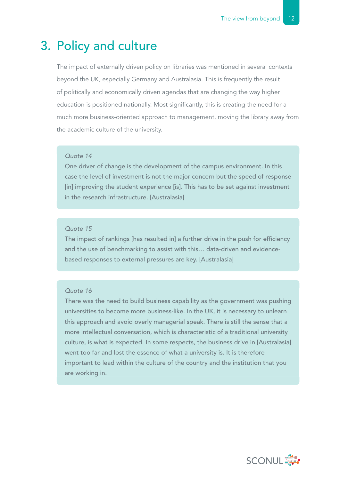## 3. Policy and culture

The impact of externally driven policy on libraries was mentioned in several contexts beyond the UK, especially Germany and Australasia. This is frequently the result of politically and economically driven agendas that are changing the way higher education is positioned nationally. Most significantly, this is creating the need for a much more business-oriented approach to management, moving the library away from the academic culture of the university.

#### *Quote 14*

One driver of change is the development of the campus environment. In this case the level of investment is not the major concern but the speed of response [in] improving the student experience [is]. This has to be set against investment in the research infrastructure. [Australasia]

#### *Quote 15*

The impact of rankings [has resulted in] a further drive in the push for efficiency and the use of benchmarking to assist with this… data-driven and evidencebased responses to external pressures are key. [Australasia]

## *Quote 16*

There was the need to build business capability as the government was pushing universities to become more business-like. In the UK, it is necessary to unlearn this approach and avoid overly managerial speak. There is still the sense that a more intellectual conversation, which is characteristic of a traditional university culture, is what is expected. In some respects, the business drive in [Australasia] went too far and lost the essence of what a university is. It is therefore important to lead within the culture of the country and the institution that you are working in.

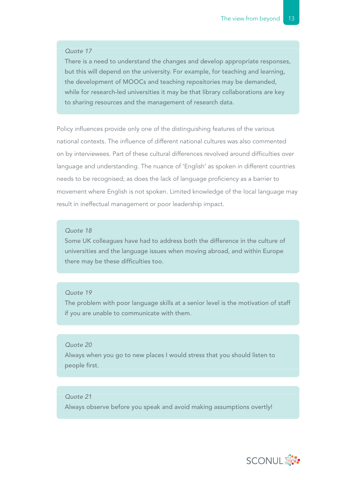There is a need to understand the changes and develop appropriate responses, but this will depend on the university. For example, for teaching and learning, the development of MOOCs and teaching repositories may be demanded, while for research-led universities it may be that library collaborations are key to sharing resources and the management of research data.

Policy influences provide only one of the distinguishing features of the various national contexts. The influence of different national cultures was also commented on by interviewees. Part of these cultural differences revolved around difficulties over language and understanding. The nuance of 'English' as spoken in different countries needs to be recognised; as does the lack of language proficiency as a barrier to movement where English is not spoken. Limited knowledge of the local language may result in ineffectual management or poor leadership impact.

#### *Quote 18*

Some UK colleagues have had to address both the difference in the culture of universities and the language issues when moving abroad, and within Europe there may be these difficulties too.

#### *Quote 19*

The problem with poor language skills at a senior level is the motivation of staff if you are unable to communicate with them.

### *Quote 20*

Always when you go to new places I would stress that you should listen to people first.

### *Quote 21*

Always observe before you speak and avoid making assumptions overtly!

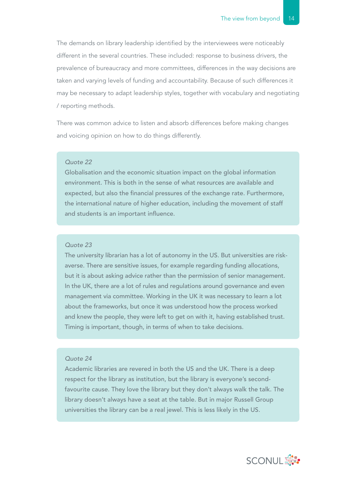The demands on library leadership identified by the interviewees were noticeably different in the several countries. These included: response to business drivers, the prevalence of bureaucracy and more committees, differences in the way decisions are taken and varying levels of funding and accountability. Because of such differences it may be necessary to adapt leadership styles, together with vocabulary and negotiating / reporting methods.

There was common advice to listen and absorb differences before making changes and voicing opinion on how to do things differently.

#### *Quote 22*

Globalisation and the economic situation impact on the global information environment. This is both in the sense of what resources are available and expected, but also the financial pressures of the exchange rate. Furthermore, the international nature of higher education, including the movement of staff and students is an important influence.

#### *Quote 23*

The university librarian has a lot of autonomy in the US. But universities are riskaverse. There are sensitive issues, for example regarding funding allocations, but it is about asking advice rather than the permission of senior management. In the UK, there are a lot of rules and regulations around governance and even management via committee. Working in the UK it was necessary to learn a lot about the frameworks, but once it was understood how the process worked and knew the people, they were left to get on with it, having established trust. Timing is important, though, in terms of when to take decisions.

#### *Quote 24*

Academic libraries are revered in both the US and the UK. There is a deep respect for the library as institution, but the library is everyone's secondfavourite cause. They love the library but they don't always walk the talk. The library doesn't always have a seat at the table. But in major Russell Group universities the library can be a real jewel. This is less likely in the US.

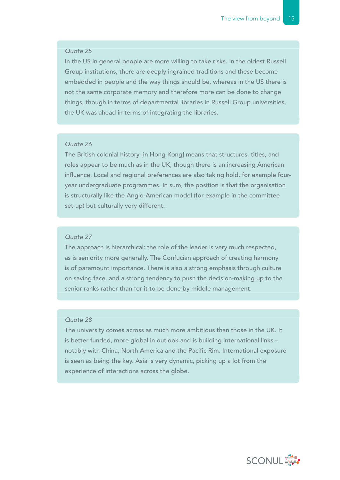In the US in general people are more willing to take risks. In the oldest Russell Group institutions, there are deeply ingrained traditions and these become embedded in people and the way things should be, whereas in the US there is not the same corporate memory and therefore more can be done to change things, though in terms of departmental libraries in Russell Group universities, the UK was ahead in terms of integrating the libraries.

## *Quote 26*

The British colonial history [in Hong Kong] means that structures, titles, and roles appear to be much as in the UK, though there is an increasing American influence. Local and regional preferences are also taking hold, for example fouryear undergraduate programmes. In sum, the position is that the organisation is structurally like the Anglo-American model (for example in the committee set-up) but culturally very different.

### *Quote 27*

The approach is hierarchical: the role of the leader is very much respected, as is seniority more generally. The Confucian approach of creating harmony is of paramount importance. There is also a strong emphasis through culture on saving face, and a strong tendency to push the decision-making up to the senior ranks rather than for it to be done by middle management.

#### *Quote 28*

The university comes across as much more ambitious than those in the UK. It is better funded, more global in outlook and is building international links – notably with China, North America and the Pacific Rim. International exposure is seen as being the key. Asia is very dynamic, picking up a lot from the experience of interactions across the globe.

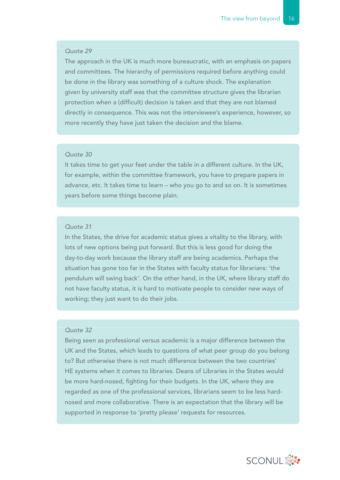The approach in the UK is much more bureaucratic, with an emphasis on papers and committees. The hierarchy of permissions required before anything could be done in the library was something of a culture shock. The explanation given by university staff was that the committee structure gives the librarian protection when a (difficult) decision is taken and that they are not blamed directly in consequence. This was not the interviewee's experience, however, so more recently they have just taken the decision and the blame.

#### *Quote 30*

It takes time to get your feet under the table in a different culture. In the UK, for example, within the committee framework, you have to prepare papers in advance, etc. It takes time to learn – who you go to and so on. It is sometimes years before some things become plain.

#### *Quote 31*

In the States, the drive for academic status gives a vitality to the library, with lots of new options being put forward. But this is less good for doing the day-to-day work because the library staff are being academics. Perhaps the situation has gone too far in the States with faculty status for librarians: 'the pendulum will swing back'. On the other hand, in the UK, where library staff do not have faculty status, it is hard to motivate people to consider new ways of working; they just want to do their jobs.

#### *Quote 32*

Being seen as professional versus academic is a major difference between the UK and the States, which leads to questions of what peer group do you belong to? But otherwise there is not much difference between the two countries' HE systems when it comes to libraries. Deans of Libraries in the States would be more hard-nosed, fighting for their budgets. In the UK, where they are regarded as one of the professional services, librarians seem to be less hardnosed and more collaborative. There is an expectation that the library will be supported in response to 'pretty please' requests for resources.

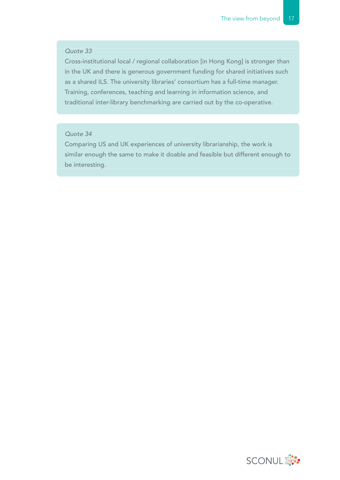Cross-institutional local / regional collaboration [in Hong Kong] is stronger than in the UK and there is generous government funding for shared initiatives such as a shared ILS. The university libraries' consortium has a full-time manager. Training, conferences, teaching and learning in information science, and traditional inter-library benchmarking are carried out by the co-operative.

## *Quote 34*

Comparing US and UK experiences of university librarianship, the work is similar enough the same to make it doable and feasible but different enough to be interesting.

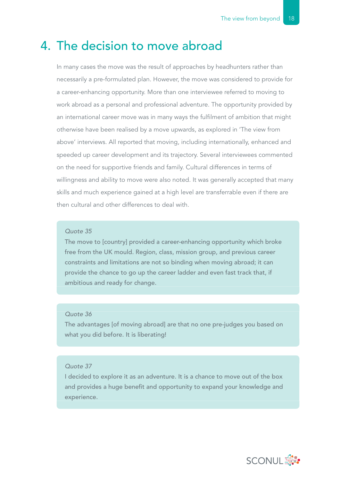## 4. The decision to move abroad

In many cases the move was the result of approaches by headhunters rather than necessarily a pre-formulated plan. However, the move was considered to provide for a career-enhancing opportunity. More than one interviewee referred to moving to work abroad as a personal and professional adventure. The opportunity provided by an international career move was in many ways the fulfilment of ambition that might otherwise have been realised by a move upwards, as explored in 'The view from above' interviews. All reported that moving, including internationally, enhanced and speeded up career development and its trajectory. Several interviewees commented on the need for supportive friends and family. Cultural differences in terms of willingness and ability to move were also noted. It was generally accepted that many skills and much experience gained at a high level are transferrable even if there are then cultural and other differences to deal with.

## *Quote 35*

The move to [country] provided a career-enhancing opportunity which broke free from the UK mould. Region, class, mission group, and previous career constraints and limitations are not so binding when moving abroad; it can provide the chance to go up the career ladder and even fast track that, if ambitious and ready for change.

### *Quote 36*

The advantages [of moving abroad] are that no one pre-judges you based on what you did before. It is liberating!

## *Quote 37*

I decided to explore it as an adventure. It is a chance to move out of the box and provides a huge benefit and opportunity to expand your knowledge and experience.

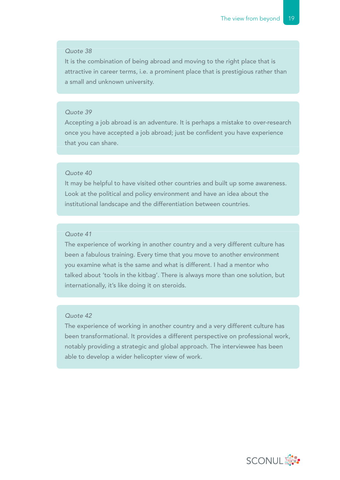It is the combination of being abroad and moving to the right place that is attractive in career terms, i.e. a prominent place that is prestigious rather than a small and unknown university.

### *Quote 39*

Accepting a job abroad is an adventure. It is perhaps a mistake to over-research once you have accepted a job abroad; just be confident you have experience that you can share.

## *Quote 40*

It may be helpful to have visited other countries and built up some awareness. Look at the political and policy environment and have an idea about the institutional landscape and the differentiation between countries.

## *Quote 41*

The experience of working in another country and a very different culture has been a fabulous training. Every time that you move to another environment you examine what is the same and what is different. I had a mentor who talked about 'tools in the kitbag'. There is always more than one solution, but internationally, it's like doing it on steroids.

## *Quote 42*

The experience of working in another country and a very different culture has been transformational. It provides a different perspective on professional work, notably providing a strategic and global approach. The interviewee has been able to develop a wider helicopter view of work.

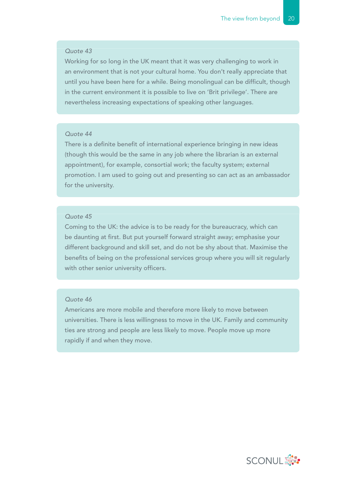Working for so long in the UK meant that it was very challenging to work in an environment that is not your cultural home. You don't really appreciate that until you have been here for a while. Being monolingual can be difficult, though in the current environment it is possible to live on 'Brit privilege'. There are nevertheless increasing expectations of speaking other languages.

## *Quote 44*

There is a definite benefit of international experience bringing in new ideas (though this would be the same in any job where the librarian is an external appointment), for example, consortial work; the faculty system; external promotion. I am used to going out and presenting so can act as an ambassador for the university.

#### *Quote 45*

Coming to the UK: the advice is to be ready for the bureaucracy, which can be daunting at first. But put yourself forward straight away; emphasise your different background and skill set, and do not be shy about that. Maximise the benefits of being on the professional services group where you will sit regularly with other senior university officers.

#### *Quote 46*

Americans are more mobile and therefore more likely to move between universities. There is less willingness to move in the UK. Family and community ties are strong and people are less likely to move. People move up more rapidly if and when they move.

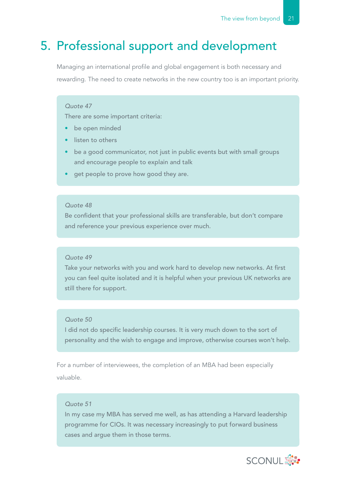## 5. Professional support and development

Managing an international profile and global engagement is both necessary and rewarding. The need to create networks in the new country too is an important priority.

#### *Quote 47*

There are some important criteria:

- be open minded
- listen to others
- be a good communicator, not just in public events but with small groups and encourage people to explain and talk
- get people to prove how good they are.

#### *Quote 48*

Be confident that your professional skills are transferable, but don't compare and reference your previous experience over much.

#### *Quote 49*

Take your networks with you and work hard to develop new networks. At first you can feel quite isolated and it is helpful when your previous UK networks are still there for support.

#### *Quote 50*

I did not do specific leadership courses. It is very much down to the sort of personality and the wish to engage and improve, otherwise courses won't help.

For a number of interviewees, the completion of an MBA had been especially valuable.

## *Quote 51*

In my case my MBA has served me well, as has attending a Harvard leadership programme for CIOs. It was necessary increasingly to put forward business cases and argue them in those terms.

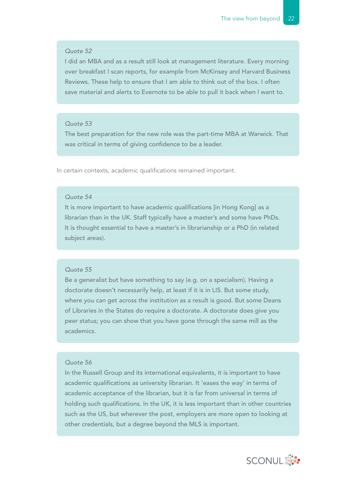I did an MBA and as a result still look at management literature. Every morning over breakfast I scan reports, for example from McKinsey and Harvard Business Reviews. These help to ensure that I am able to think out of the box. I often save material and alerts to Evernote to be able to pull it back when I want to.

#### *Quote 53*

The best preparation for the new role was the part-time MBA at Warwick. That was critical in terms of giving confidence to be a leader.

In certain contexts, academic qualifications remained important.

### *Quote 54*

It is more important to have academic qualifications [in Hong Kong] as a librarian than in the UK. Staff typically have a master's and some have PhDs. It is thought essential to have a master's in librarianship or a PhD (in related subject areas).

#### *Quote 55*

Be a generalist but have something to say (e.g. on a specialism). Having a doctorate doesn't necessarily help, at least if it is in LIS. But some study, where you can get across the institution as a result is good. But some Deans of Libraries in the States do require a doctorate. A doctorate does give you peer status; you can show that you have gone through the same mill as the academics.

## *Quote 56*

In the Russell Group and its international equivalents, it is important to have academic qualifications as university librarian. It 'eases the way' in terms of academic acceptance of the librarian, but it is far from universal in terms of holding such qualifications. In the UK, it is less important than in other countries such as the US, but wherever the post, employers are more open to looking at other credentials, but a degree beyond the MLS is important.

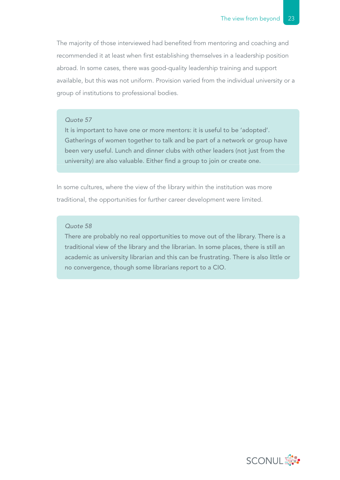The majority of those interviewed had benefited from mentoring and coaching and recommended it at least when first establishing themselves in a leadership position abroad. In some cases, there was good-quality leadership training and support available, but this was not uniform. Provision varied from the individual university or a group of institutions to professional bodies.

#### *Quote 57*

It is important to have one or more mentors: it is useful to be 'adopted'. Gatherings of women together to talk and be part of a network or group have been very useful. Lunch and dinner clubs with other leaders (not just from the university) are also valuable. Either find a group to join or create one.

In some cultures, where the view of the library within the institution was more traditional, the opportunities for further career development were limited.

#### *Quote 58*

There are probably no real opportunities to move out of the library. There is a traditional view of the library and the librarian. In some places, there is still an academic as university librarian and this can be frustrating. There is also little or no convergence, though some librarians report to a CIO.

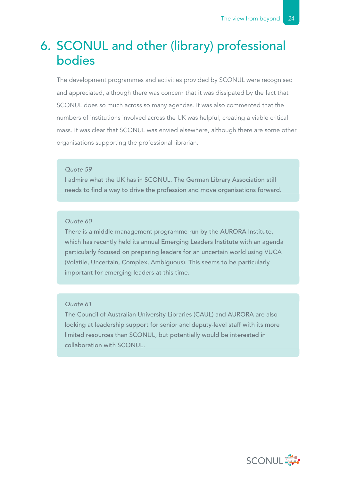## 6. SCONUL and other (library) professional bodies

The development programmes and activities provided by SCONUL were recognised and appreciated, although there was concern that it was dissipated by the fact that SCONUL does so much across so many agendas. It was also commented that the numbers of institutions involved across the UK was helpful, creating a viable critical mass. It was clear that SCONUL was envied elsewhere, although there are some other organisations supporting the professional librarian.

## *Quote 59*

I admire what the UK has in SCONUL. The German Library Association still needs to find a way to drive the profession and move organisations forward.

### *Quote 60*

There is a middle management programme run by the AURORA Institute, which has recently held its annual Emerging Leaders Institute with an agenda particularly focused on preparing leaders for an uncertain world using VUCA (Volatile, Uncertain, Complex, Ambiguous). This seems to be particularly important for emerging leaders at this time.

### *Quote 61*

The Council of Australian University Libraries (CAUL) and AURORA are also looking at leadership support for senior and deputy-level staff with its more limited resources than SCONUL, but potentially would be interested in collaboration with SCONUL.

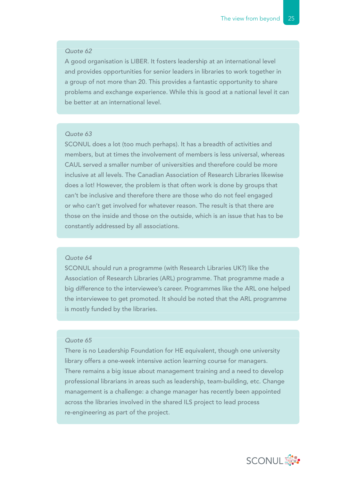A good organisation is LIBER. It fosters leadership at an international level and provides opportunities for senior leaders in libraries to work together in a group of not more than 20. This provides a fantastic opportunity to share problems and exchange experience. While this is good at a national level it can be better at an international level.

#### *Quote 63*

SCONUL does a lot (too much perhaps). It has a breadth of activities and members, but at times the involvement of members is less universal, whereas CAUL served a smaller number of universities and therefore could be more inclusive at all levels. The Canadian Association of Research Libraries likewise does a lot! However, the problem is that often work is done by groups that can't be inclusive and therefore there are those who do not feel engaged or who can't get involved for whatever reason. The result is that there are those on the inside and those on the outside, which is an issue that has to be constantly addressed by all associations.

#### *Quote 64*

SCONUL should run a programme (with Research Libraries UK?) like the Association of Research Libraries (ARL) programme. That programme made a big difference to the interviewee's career. Programmes like the ARL one helped the interviewee to get promoted. It should be noted that the ARL programme is mostly funded by the libraries.

## *Quote 65*

There is no Leadership Foundation for HE equivalent, though one university library offers a one-week intensive action learning course for managers. There remains a big issue about management training and a need to develop professional librarians in areas such as leadership, team-building, etc. Change management is a challenge: a change manager has recently been appointed across the libraries involved in the shared ILS project to lead process re-engineering as part of the project.

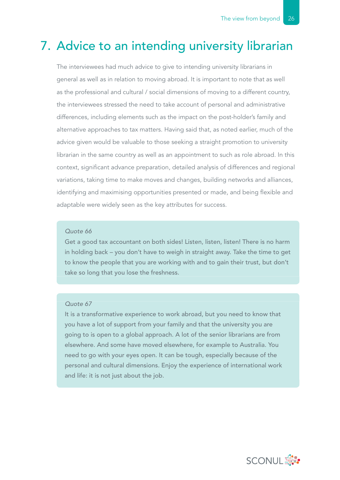## 7. Advice to an intending university librarian

The interviewees had much advice to give to intending university librarians in general as well as in relation to moving abroad. It is important to note that as well as the professional and cultural / social dimensions of moving to a different country, the interviewees stressed the need to take account of personal and administrative differences, including elements such as the impact on the post-holder's family and alternative approaches to tax matters. Having said that, as noted earlier, much of the advice given would be valuable to those seeking a straight promotion to university librarian in the same country as well as an appointment to such as role abroad. In this context, significant advance preparation, detailed analysis of differences and regional variations, taking time to make moves and changes, building networks and alliances, identifying and maximising opportunities presented or made, and being flexible and adaptable were widely seen as the key attributes for success.

#### *Quote 66*

Get a good tax accountant on both sides! Listen, listen, listen! There is no harm in holding back – you don't have to weigh in straight away. Take the time to get to know the people that you are working with and to gain their trust, but don't take so long that you lose the freshness.

## *Quote 67*

It is a transformative experience to work abroad, but you need to know that you have a lot of support from your family and that the university you are going to is open to a global approach. A lot of the senior librarians are from elsewhere. And some have moved elsewhere, for example to Australia. You need to go with your eyes open. It can be tough, especially because of the personal and cultural dimensions. Enjoy the experience of international work and life: it is not just about the job.

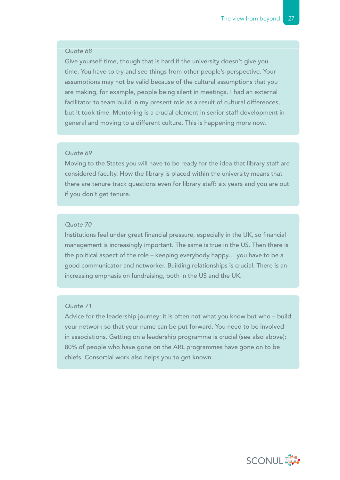Give yourself time, though that is hard if the university doesn't give you time. You have to try and see things from other people's perspective. Your assumptions may not be valid because of the cultural assumptions that you are making, for example, people being silent in meetings. I had an external facilitator to team build in my present role as a result of cultural differences, but it took time. Mentoring is a crucial element in senior staff development in general and moving to a different culture. This is happening more now.

#### *Quote 69*

Moving to the States you will have to be ready for the idea that library staff are considered faculty. How the library is placed within the university means that there are tenure track questions even for library staff: six years and you are out if you don't get tenure.

### *Quote 70*

Institutions feel under great financial pressure, especially in the UK, so financial management is increasingly important. The same is true in the US. Then there is the political aspect of the role – keeping everybody happy… you have to be a good communicator and networker. Building relationships is crucial. There is an increasing emphasis on fundraising, both in the US and the UK.

#### *Quote 71*

Advice for the leadership journey: it is often not what you know but who – build your network so that your name can be put forward. You need to be involved in associations. Getting on a leadership programme is crucial (see also above): 80% of people who have gone on the ARL programmes have gone on to be chiefs. Consortial work also helps you to get known.

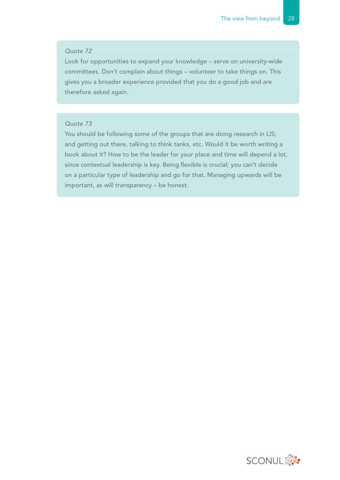Look for opportunities to expand your knowledge – serve on university-wide committees. Don't complain about things – volunteer to take things on. This gives you a broader experience provided that you do a good job and are therefore asked again.

## *Quote 73*

You should be following some of the groups that are doing research in LIS; and getting out there, talking to think tanks, etc. Would it be worth writing a book about it? How to be the leader for your place and time will depend a lot, since contextual leadership is key. Being flexible is crucial; you can't decide on a particular type of leadership and go for that. Managing upwards will be important, as will transparency – be honest.

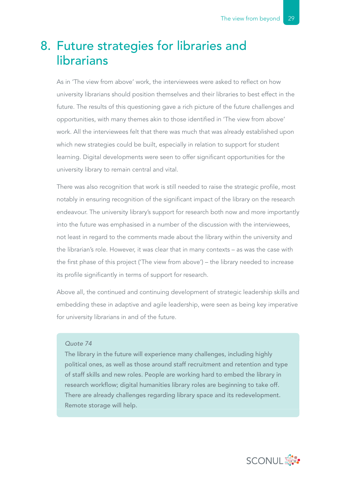## 8. Future strategies for libraries and librarians

As in 'The view from above' work, the interviewees were asked to reflect on how university librarians should position themselves and their libraries to best effect in the future. The results of this questioning gave a rich picture of the future challenges and opportunities, with many themes akin to those identified in 'The view from above' work. All the interviewees felt that there was much that was already established upon which new strategies could be built, especially in relation to support for student learning. Digital developments were seen to offer significant opportunities for the university library to remain central and vital.

There was also recognition that work is still needed to raise the strategic profile, most notably in ensuring recognition of the significant impact of the library on the research endeavour. The university library's support for research both now and more importantly into the future was emphasised in a number of the discussion with the interviewees, not least in regard to the comments made about the library within the university and the librarian's role. However, it was clear that in many contexts – as was the case with the first phase of this project ('The view from above') – the library needed to increase its profile significantly in terms of support for research.

Above all, the continued and continuing development of strategic leadership skills and embedding these in adaptive and agile leadership, were seen as being key imperative for university librarians in and of the future.

#### *Quote 74*

The library in the future will experience many challenges, including highly political ones, as well as those around staff recruitment and retention and type of staff skills and new roles. People are working hard to embed the library in research workflow; digital humanities library roles are beginning to take off. There are already challenges regarding library space and its redevelopment. Remote storage will help.

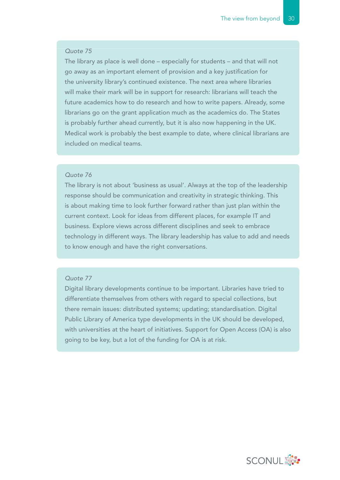The library as place is well done – especially for students – and that will not go away as an important element of provision and a key justification for the university library's continued existence. The next area where libraries will make their mark will be in support for research: librarians will teach the future academics how to do research and how to write papers. Already, some librarians go on the grant application much as the academics do. The States is probably further ahead currently, but it is also now happening in the UK. Medical work is probably the best example to date, where clinical librarians are included on medical teams.

#### *Quote 76*

The library is not about 'business as usual'. Always at the top of the leadership response should be communication and creativity in strategic thinking. This is about making time to look further forward rather than just plan within the current context. Look for ideas from different places, for example IT and business. Explore views across different disciplines and seek to embrace technology in different ways. The library leadership has value to add and needs to know enough and have the right conversations.

## *Quote 77*

Digital library developments continue to be important. Libraries have tried to differentiate themselves from others with regard to special collections, but there remain issues: distributed systems; updating; standardisation. Digital Public Library of America type developments in the UK should be developed, with universities at the heart of initiatives. Support for Open Access (OA) is also going to be key, but a lot of the funding for OA is at risk.

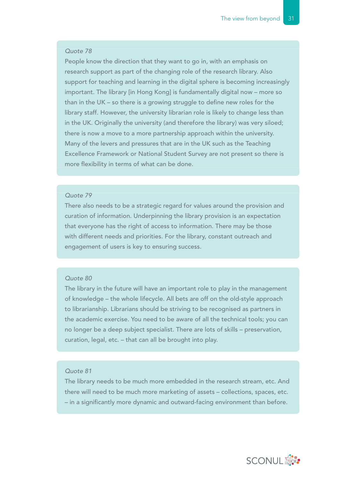People know the direction that they want to go in, with an emphasis on research support as part of the changing role of the research library. Also support for teaching and learning in the digital sphere is becoming increasingly important. The library [in Hong Kong] is fundamentally digital now – more so than in the UK – so there is a growing struggle to define new roles for the library staff. However, the university librarian role is likely to change less than in the UK. Originally the university (and therefore the library) was very siloed; there is now a move to a more partnership approach within the university. Many of the levers and pressures that are in the UK such as the Teaching Excellence Framework or National Student Survey are not present so there is more flexibility in terms of what can be done.

## *Quote 79*

There also needs to be a strategic regard for values around the provision and curation of information. Underpinning the library provision is an expectation that everyone has the right of access to information. There may be those with different needs and priorities. For the library, constant outreach and engagement of users is key to ensuring success.

## *Quote 80*

The library in the future will have an important role to play in the management of knowledge – the whole lifecycle. All bets are off on the old-style approach to librarianship. Librarians should be striving to be recognised as partners in the academic exercise. You need to be aware of all the technical tools; you can no longer be a deep subject specialist. There are lots of skills – preservation, curation, legal, etc. – that can all be brought into play.

## *Quote 81*

The library needs to be much more embedded in the research stream, etc. And there will need to be much more marketing of assets – collections, spaces, etc. – in a significantly more dynamic and outward-facing environment than before.

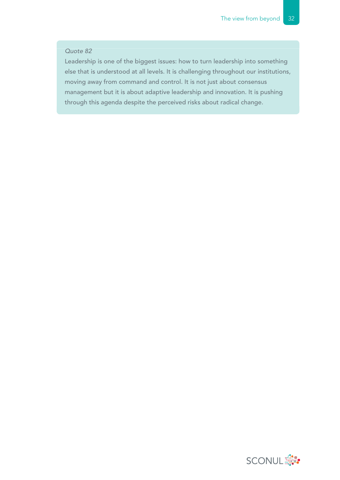Leadership is one of the biggest issues: how to turn leadership into something else that is understood at all levels. It is challenging throughout our institutions, moving away from command and control. It is not just about consensus management but it is about adaptive leadership and innovation. It is pushing through this agenda despite the perceived risks about radical change.

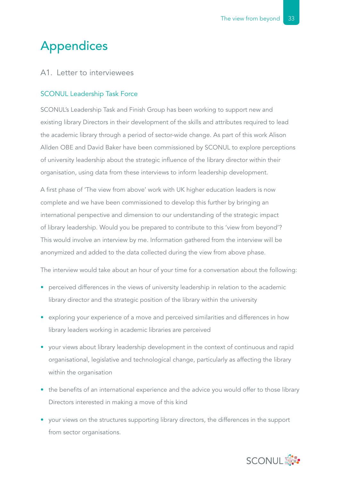## Appendices

## A1. Letter to interviewees

## SCONUL Leadership Task Force

SCONUL's Leadership Task and Finish Group has been working to support new and existing library Directors in their development of the skills and attributes required to lead the academic library through a period of sector-wide change. As part of this work Alison Allden OBE and David Baker have been commissioned by SCONUL to explore perceptions of university leadership about the strategic influence of the library director within their organisation, using data from these interviews to inform leadership development.

A first phase of 'The view from above' work with UK higher education leaders is now complete and we have been commissioned to develop this further by bringing an international perspective and dimension to our understanding of the strategic impact of library leadership. Would you be prepared to contribute to this 'view from beyond'? This would involve an interview by me. Information gathered from the interview will be anonymized and added to the data collected during the view from above phase.

The interview would take about an hour of your time for a conversation about the following:

- perceived differences in the views of university leadership in relation to the academic library director and the strategic position of the library within the university
- exploring your experience of a move and perceived similarities and differences in how library leaders working in academic libraries are perceived
- your views about library leadership development in the context of continuous and rapid organisational, legislative and technological change, particularly as affecting the library within the organisation
- the benefits of an international experience and the advice you would offer to those library Directors interested in making a move of this kind
- your views on the structures supporting library directors, the differences in the support from sector organisations.

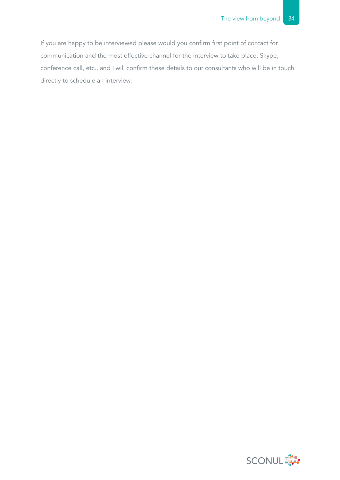If you are happy to be interviewed please would you confirm first point of contact for communication and the most effective channel for the interview to take place: Skype, conference call, etc., and I will confirm these details to our consultants who will be in touch directly to schedule an interview.

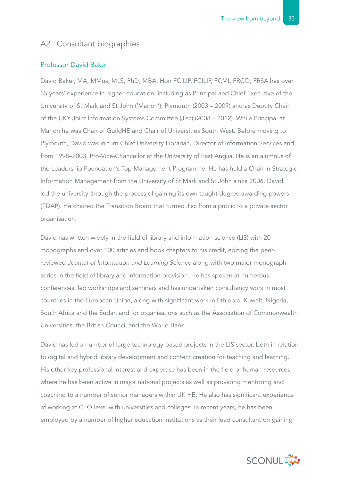## A2 Consultant biographies

## Professor David Baker

David Baker, MA, MMus, MLS, PhD, MBA, Hon FCILIP, FCILIP, FCMI, FRCO, FRSA has over 35 years' experience in higher education, including as Principal and Chief Executive of the University of St Mark and St John ('Marjon'), Plymouth (2003 – 2009) and as Deputy Chair of the UK's Joint Information Systems Committee (Jisc) (2008 – 2012). While Principal at Marjon he was Chair of GuildHE and Chair of Universities South West. Before moving to Plymouth, David was in turn Chief University Librarian, Director of Information Services and, from 1998–2003, Pro-Vice-Chancellor at the University of East Anglia. He is an alumnus of the Leadership Foundation's Top Management Programme. He has held a Chair in Strategic Information Management from the University of St Mark and St John since 2006. David led the university through the process of gaining its own taught degree awarding powers (TDAP). He chaired the Transition Board that turned Jisc from a public to a private sector organisation.

David has written widely in the field of library and information science (LIS) with 20 monographs and over 100 articles and book chapters to his credit, editing the peerreviewed *Journal of Information and Learning Science* along with two major monograph series in the field of library and information provision. He has spoken at numerous conferences, led workshops and seminars and has undertaken consultancy work in most countries in the European Union, along with significant work in Ethiopia, Kuwait, Nigeria, South Africa and the Sudan and for organisations such as the Association of Commonwealth Universities, the British Council and the World Bank.

David has led a number of large technology-based projects in the LIS sector, both in relation to digital and hybrid library development and content creation for teaching and learning. His other key professional interest and expertise has been in the field of human resources, where he has been active in major national projects as well as providing mentoring and coaching to a number of senior managers within UK HE. He also has significant experience of working at CEO level with universities and colleges. In recent years, he has been employed by a number of higher education institutions as their lead consultant on gaining

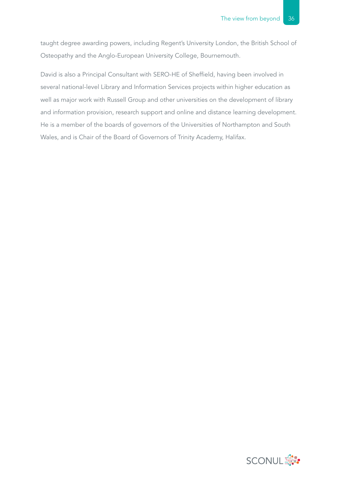taught degree awarding powers, including Regent's University London, the British School of Osteopathy and the Anglo-European University College, Bournemouth.

David is also a Principal Consultant with SERO-HE of Sheffield, having been involved in several national-level Library and Information Services projects within higher education as well as major work with Russell Group and other universities on the development of library and information provision, research support and online and distance learning development. He is a member of the boards of governors of the Universities of Northampton and South Wales, and is Chair of the Board of Governors of Trinity Academy, Halifax.

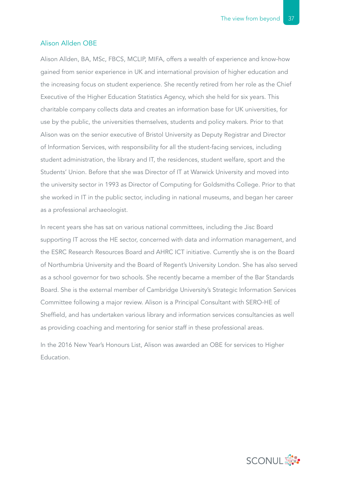#### Alison Allden OBE

Alison Allden, BA, MSc, FBCS, MCLIP, MIFA, offers a wealth of experience and know-how gained from senior experience in UK and international provision of higher education and the increasing focus on student experience. She recently retired from her role as the Chief Executive of the Higher Education Statistics Agency, which she held for six years. This charitable company collects data and creates an information base for UK universities, for use by the public, the universities themselves, students and policy makers. Prior to that Alison was on the senior executive of Bristol University as Deputy Registrar and Director of Information Services, with responsibility for all the student-facing services, including student administration, the library and IT, the residences, student welfare, sport and the Students' Union. Before that she was Director of IT at Warwick University and moved into the university sector in 1993 as Director of Computing for Goldsmiths College. Prior to that she worked in IT in the public sector, including in national museums, and began her career as a professional archaeologist.

In recent years she has sat on various national committees, including the Jisc Board supporting IT across the HE sector, concerned with data and information management, and the ESRC Research Resources Board and AHRC ICT initiative. Currently she is on the Board of Northumbria University and the Board of Regent's University London. She has also served as a school governor for two schools. She recently became a member of the Bar Standards Board. She is the external member of Cambridge University's Strategic Information Services Committee following a major review. Alison is a Principal Consultant with SERO-HE of Sheffield, and has undertaken various library and information services consultancies as well as providing coaching and mentoring for senior staff in these professional areas.

In the 2016 New Year's Honours List, Alison was awarded an OBE for services to Higher Education.